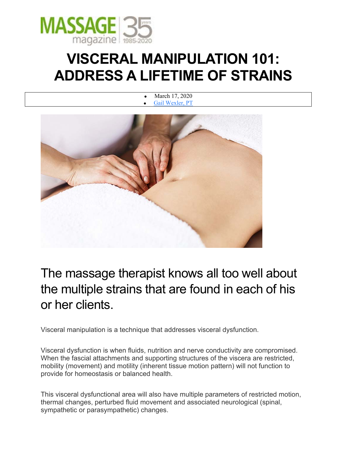

# **VISCERAL MANIPULATION 101: ADDRESS A LIFETIME OF STRAINS**

• March 17, 2020 Gail Wexler, PT



The massage therapist knows all too well about the multiple strains that are found in each of his or her clients.

Visceral manipulation is a technique that addresses visceral dysfunction.

Visceral dysfunction is when fluids, nutrition and nerve conductivity are compromised. When the fascial attachments and supporting structures of the viscera are restricted, mobility (movement) and motility (inherent tissue motion pattern) will not function to provide for homeostasis or balanced health.

This visceral dysfunctional area will also have multiple parameters of restricted motion, thermal changes, perturbed fluid movement and associated neurological (spinal, sympathetic or parasympathetic) changes.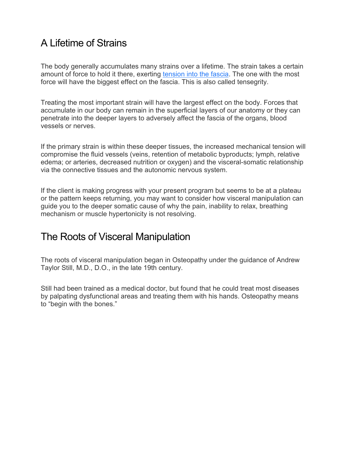## A Lifetime of Strains

The body generally accumulates many strains over a lifetime. The strain takes a certain amount of force to hold it there, exerting tension into the fascia. The one with the most force will have the biggest effect on the fascia. This is also called tensegrity.

Treating the most important strain will have the largest effect on the body. Forces that accumulate in our body can remain in the superficial layers of our anatomy or they can penetrate into the deeper layers to adversely affect the fascia of the organs, blood vessels or nerves.

If the primary strain is within these deeper tissues, the increased mechanical tension will compromise the fluid vessels (veins, retention of metabolic byproducts; lymph, relative edema; or arteries, decreased nutrition or oxygen) and the visceral-somatic relationship via the connective tissues and the autonomic nervous system.

If the client is making progress with your present program but seems to be at a plateau or the pattern keeps returning, you may want to consider how visceral manipulation can guide you to the deeper somatic cause of why the pain, inability to relax, breathing mechanism or muscle hypertonicity is not resolving.

### The Roots of Visceral Manipulation

The roots of visceral manipulation began in Osteopathy under the guidance of Andrew Taylor Still, M.D., D.O., in the late 19th century.

Still had been trained as a medical doctor, but found that he could treat most diseases by palpating dysfunctional areas and treating them with his hands. Osteopathy means to "begin with the bones."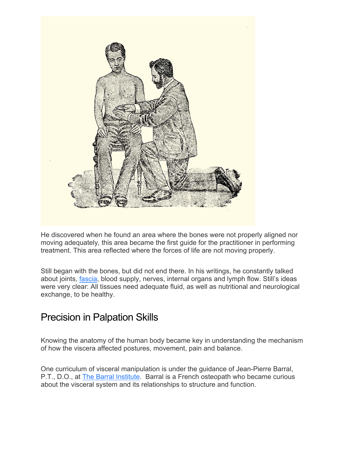

He discovered when he found an area where the bones were not properly aligned nor moving adequately, this area became the first guide for the practitioner in performing treatment. This area reflected where the forces of life are not moving properly.

Still began with the bones, but did not end there. In his writings, he constantly talked about joints, fascia, blood supply, nerves, internal organs and lymph flow. Still's ideas were very clear: All tissues need adequate fluid, as well as nutritional and neurological exchange, to be healthy.

#### Precision in Palpation Skills

Knowing the anatomy of the human body became key in understanding the mechanism of how the viscera affected postures, movement, pain and balance.

One curriculum of visceral manipulation is under the guidance of Jean-Pierre Barral, P.T., D.O., at The Barral Institute. Barral is a French osteopath who became curious about the visceral system and its relationships to structure and function.